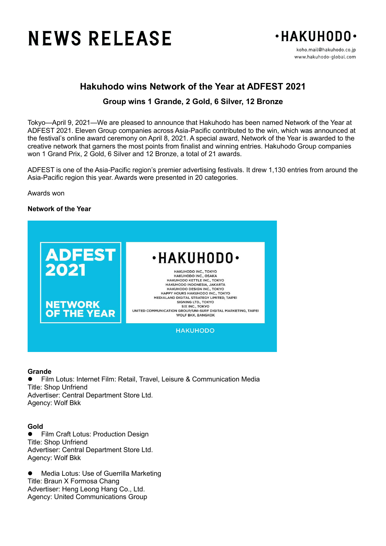# **NEWS RELEASE**



# **Hakuhodo wins Network of the Year at ADFEST 2021**

# **Group wins 1 Grande, 2 Gold, 6 Silver, 12 Bronze**

Tokyo—April 9, 2021—We are pleased to announce that Hakuhodo has been named Network of the Year at ADFEST 2021. Eleven Group companies across Asia-Pacific contributed to the win, which was announced at the festival's online award ceremony on April 8, 2021. A special award, Network of the Year is awarded to the creative network that garners the most points from finalist and winning entries. Hakuhodo Group companies won 1 Grand Prix, 2 Gold, 6 Silver and 12 Bronze, a total of 21 awards.

ADFEST is one of the Asia-Pacific region's premier advertising festivals. It drew 1,130 entries from around the Asia-Pacific region this year. Awards were presented in 20 categories.

Awards won

## **Network of the Year**



#### **Grande**

 Film Lotus: Internet Film: Retail, Travel, Leisure & Communication Media Title: Shop Unfriend Advertiser: Central Department Store Ltd. Agency: Wolf Bkk

### **Gold**

**•** Film Craft Lotus: Production Design Title: Shop Unfriend Advertiser: Central Department Store Ltd. Agency: Wolf Bkk

 Media Lotus: Use of Guerrilla Marketing Title: Braun X Formosa Chang Advertiser: Heng Leong Hang Co., Ltd. Agency: United Communications Group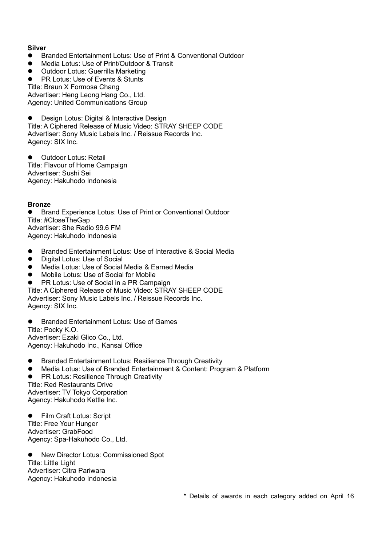# **Silver**

- Branded Entertainment Lotus: Use of Print & Conventional Outdoor
- Media Lotus: Use of Print/Outdoor & Transit
- Outdoor Lotus: Guerrilla Marketing
- PR Lotus: Use of Events & Stunts

Title: Braun X Formosa Chang Advertiser: Heng Leong Hang Co., Ltd. Agency: United Communications Group

Design Lotus: Digital & Interactive Design Title: A Ciphered Release of Music Video: STRAY SHEEP CODE Advertiser: Sony Music Labels Inc. / Reissue Records Inc. Agency: SIX Inc.

**•** Outdoor Lotus: Retail Title: Flavour of Home Campaign Advertiser: Sushi Sei Agency: Hakuhodo Indonesia

## **Bronze**

 Brand Experience Lotus: Use of Print or Conventional Outdoor Title: #CloseTheGap Advertiser: She Radio 99.6 FM Agency: Hakuhodo Indonesia

- Branded Entertainment Lotus: Use of Interactive & Social Media<br>● Digital Lotus: Use of Social
- Digital Lotus: Use of Social<br>• Media Lotus: Use of Social
- Media Lotus: Use of Social Media & Earned Media
- Mobile Lotus: Use of Social for Mobile
- PR Lotus: Use of Social in a PR Campaign

Title: A Ciphered Release of Music Video: STRAY SHEEP CODE Advertiser: Sony Music Labels Inc. / Reissue Records Inc. Agency: SIX Inc.

Branded Entertainment Lotus: Use of Games

Title: Pocky K.O. Advertiser: Ezaki Glico Co., Ltd. Agency: Hakuhodo Inc., Kansai Office

- Branded Entertainment Lotus: Resilience Through Creativity
- Media Lotus: Use of Branded Entertainment & Content: Program & Platform

 PR Lotus: Resilience Through Creativity Title: Red Restaurants Drive Advertiser: TV Tokyo Corporation Agency: Hakuhodo Kettle Inc.

● Film Craft Lotus: Script Title: Free Your Hunger Advertiser: GrabFood Agency: Spa-Hakuhodo Co., Ltd.

● New Director Lotus: Commissioned Spot Title: Little Light Advertiser: Citra Pariwara Agency: Hakuhodo Indonesia